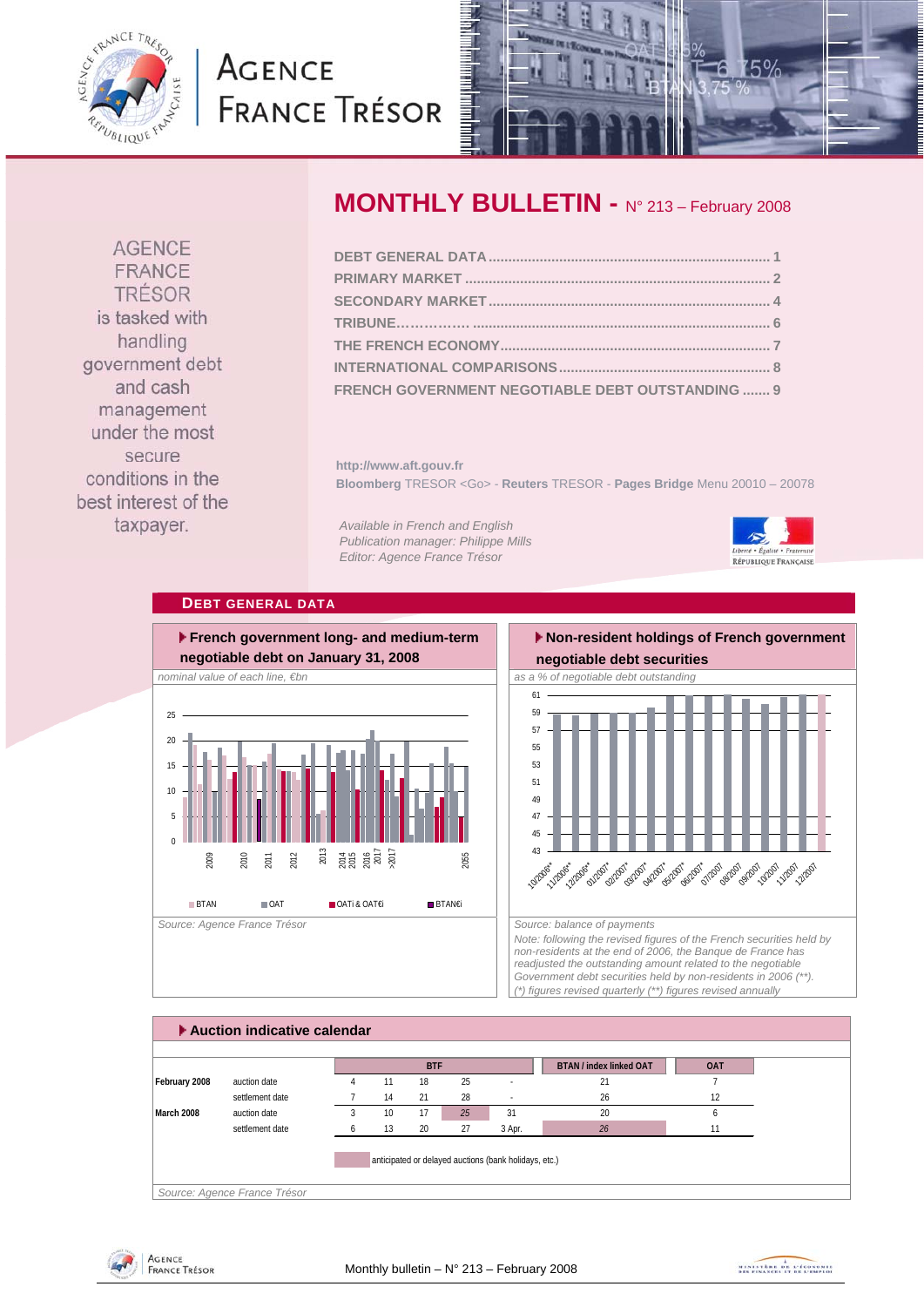<span id="page-0-0"></span>

# **AGENCE FRANCE TRÉSOR**



**AGENCE** FRANCE TRÉSOR is tasked with handling government debt and cash management under the most secure conditions in the best interest of the taxpayer.

# **MONTHLY BULLETIN -** N° 213 – February 2008

| FRENCH GOVERNMENT NEGOTIABLE DEBT OUTSTANDING  9 |  |
|--------------------------------------------------|--|

**http://www.aft.gouv.fr Bloomberg** TRESOR <Go> - **Reuters** TRESOR - **Pages Bridge** Menu 20010 – 20078

*Available in French and English Publication manager: Philippe Mills Editor: Agence France Trésor* 



## **DEBT GENERAL DATA**



# **Non-resident holdings of French government negotiable debt securities**



*Note: following the revised figures of the French securities held by non-residents at the end of 2006, the Banque de France has readjusted the outstanding amount related to the negotiable Government debt securities held by non-residents in 2006 (\*\*). (\*) figures revised quarterly (\*\*) figures revised annually* 



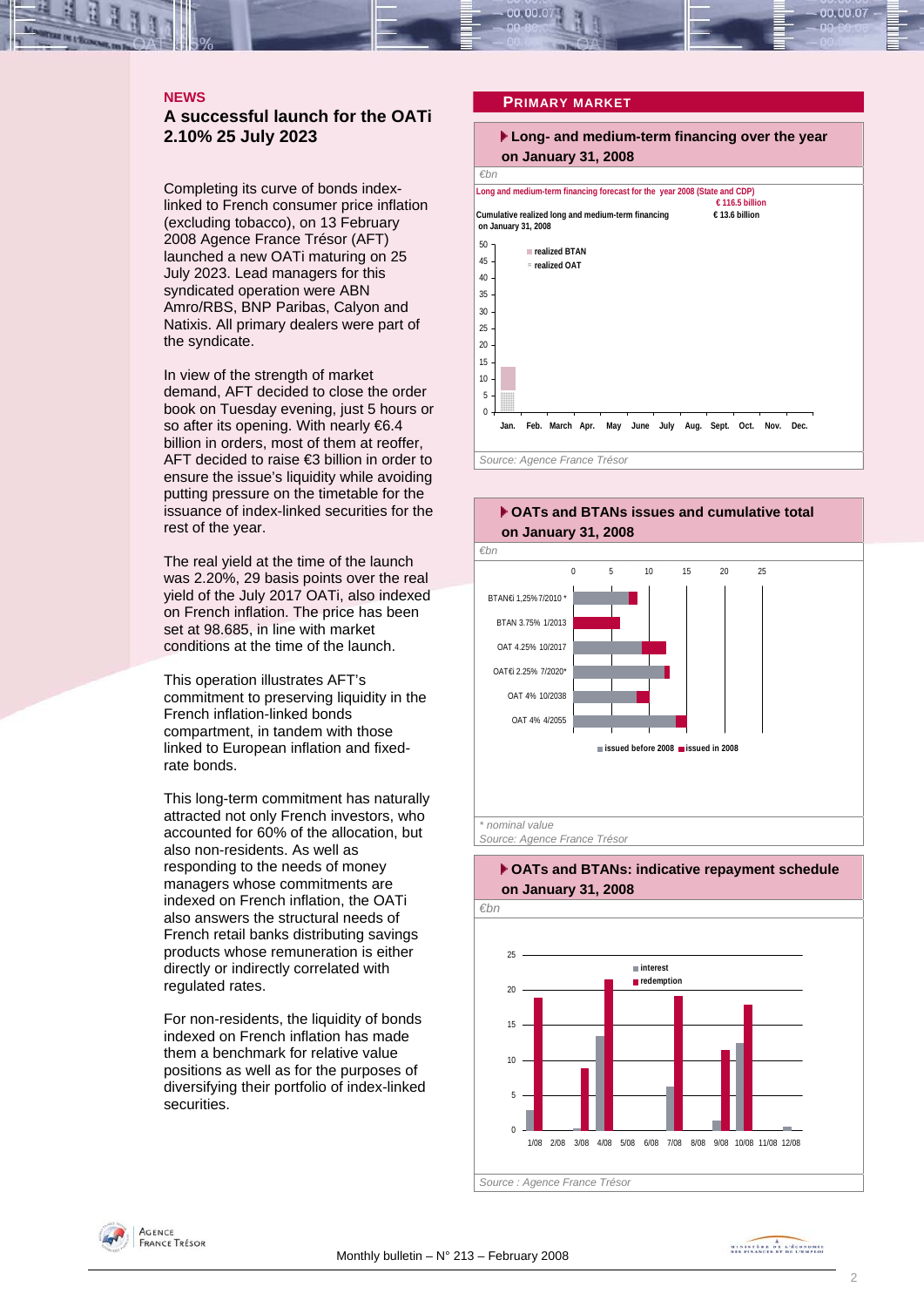<span id="page-1-0"></span>

#### **NEWS**

### **A successful launch for the OATi 2.10% 25 July 2023**

Completing its curve of bonds indexlinked to French consumer price inflation (excluding tobacco), on 13 February 2008 Agence France Trésor (AFT) launched a new OATi maturing on 25 July 2023. Lead managers for this syndicated operation were ABN Amro/RBS, BNP Paribas, Calyon and Natixis. All primary dealers were part of the syndicate.

In view of the strength of market demand, AFT decided to close the order book on Tuesday evening, just 5 hours or so after its opening. With nearly €6.4 billion in orders, most of them at reoffer, AFT decided to raise €3 billion in order to ensure the issue's liquidity while avoiding putting pressure on the timetable for the issuance of index-linked securities for the rest of the year.

The real yield at the time of the launch was 2.20%, 29 basis points over the real yield of the July 2017 OATi, also indexed on French inflation. The price has been set at 98.685, in line with market conditions at the time of the launch.

This operation illustrates AFT's commitment to preserving liquidity in the French inflation-linked bonds compartment, in tandem with those linked to European inflation and fixedrate bonds.

This long-term commitment has naturally attracted not only French investors, who accounted for 60% of the allocation, but also non-residents. As well as responding to the needs of money managers whose commitments are indexed on French inflation, the OATi also answers the structural needs of French retail banks distributing savings products whose remuneration is either directly or indirectly correlated with regulated rates.

For non-residents, the liquidity of bonds indexed on French inflation has made them a benchmark for relative value positions as well as for the purposes of diversifying their portfolio of index-linked securities.

#### **PRIMARY MARKET**

## **Long- and medium-term financing over the year on January 31, 2008**

*€bn Source: Agence France Trésor*  **Long and medium-term financing forecast for the year 2008 (State and CDP) € 116.5 billion Cumulative realized long and medium-term financing € 13.6 billion on January 31, 2008**  $\overline{0}$ 5 10 15 20 25 30 35 40 45 50 **Jan. Feb. March Apr. May June July Aug. Sept. Oct. Nov. Dec. realized BTAN realized OAT**





#### **OATs and BTANs: indicative repayment schedule on January 31, 2008**

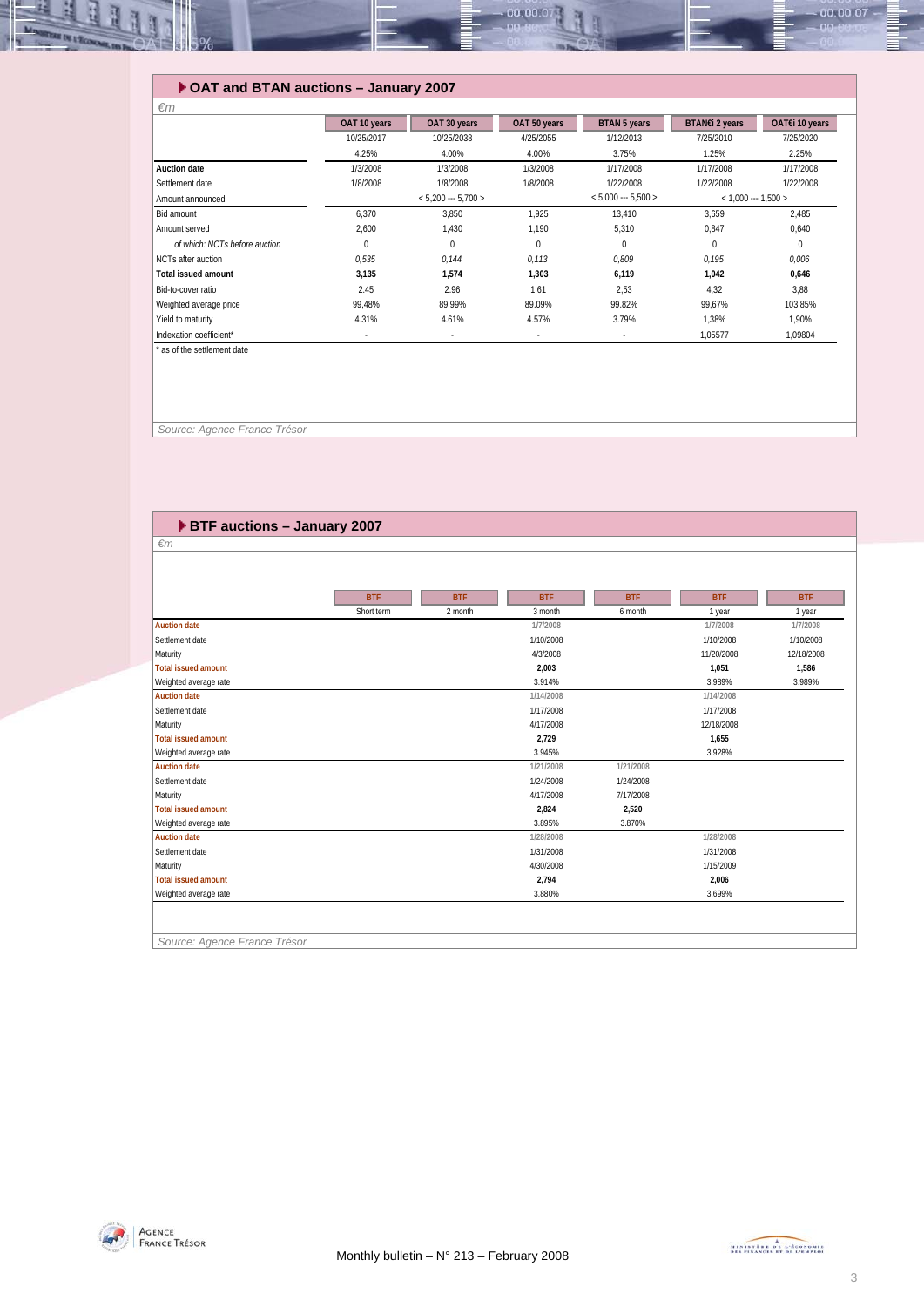

#### **OAT and BTAN auctions – January 2007**

| $\epsilon$ m                  |              |                      |              |                      |                       |                |
|-------------------------------|--------------|----------------------|--------------|----------------------|-----------------------|----------------|
|                               | OAT 10 years | OAT 30 years         | OAT 50 years | <b>BTAN 5 years</b>  | BTAN€i 2 years        | OAT€i 10 years |
|                               | 10/25/2017   | 10/25/2038           | 4/25/2055    | 1/12/2013            | 7/25/2010             | 7/25/2020      |
|                               | 4.25%        | 4.00%                | 4.00%        | 3.75%                | 1.25%                 | 2.25%          |
| <b>Auction date</b>           | 1/3/2008     | 1/3/2008             | 1/3/2008     | 1/17/2008            | 1/17/2008             | 1/17/2008      |
| Settlement date               | 1/8/2008     | 1/8/2008             | 1/8/2008     | 1/22/2008            | 1/22/2008             | 1/22/2008      |
| Amount announced              |              | $< 5,200 -- 5,700 >$ |              | $< 5.000 -- 5.500 >$ | $<$ 1,000 --- 1,500 > |                |
| Bid amount                    | 6,370        | 3,850                | 1,925        | 13,410               | 3,659                 | 2,485          |
| Amount served                 | 2,600        | 1,430                | 1,190        | 5,310                | 0,847                 | 0,640          |
| of which: NCTs before auction | $\Omega$     | 0                    | $\Omega$     | $\Omega$             | $\Omega$              | $\Omega$       |
| NCTs after auction            | 0,535        | 0.144                | 0,113        | 0,809                | 0,195                 | 0,006          |
| <b>Total issued amount</b>    | 3,135        | 1.574                | 1.303        | 6.119                | 1.042                 | 0,646          |
| Bid-to-cover ratio            | 2.45         | 2.96                 | 1.61         | 2,53                 | 4,32                  | 3,88           |
| Weighted average price        | 99.48%       | 89.99%               | 89.09%       | 99.82%               | 99.67%                | 103,85%        |
| Yield to maturity             | 4.31%        | 4.61%                | 4.57%        | 3.79%                | 1.38%                 | 1.90%          |
| Indexation coefficient*       |              |                      |              | ٠                    | 1,05577               | 1,09804        |
| * ac of the cottlement date   |              |                      |              |                      |                       |                |

as of the settlement date

 *Source: Agence France Trésor* 

| ▶ BTF auctions - January 2007 |            |            |            |            |            |            |  |  |  |
|-------------------------------|------------|------------|------------|------------|------------|------------|--|--|--|
| $\epsilon$ m                  |            |            |            |            |            |            |  |  |  |
|                               |            |            |            |            |            |            |  |  |  |
|                               |            |            |            |            |            |            |  |  |  |
|                               | <b>BTF</b> | <b>BTF</b> | <b>BTF</b> | <b>BTF</b> | <b>BTF</b> | <b>BTF</b> |  |  |  |
|                               | Short term | 2 month    | 3 month    | 6 month    | 1 year     | 1 year     |  |  |  |
| <b>Auction date</b>           |            |            | 1/7/2008   |            | 1/7/2008   | 1/7/2008   |  |  |  |
| Settlement date               |            |            | 1/10/2008  |            | 1/10/2008  | 1/10/2008  |  |  |  |
| Maturity                      |            |            | 4/3/2008   |            | 11/20/2008 | 12/18/2008 |  |  |  |
| <b>Total issued amount</b>    |            |            | 2,003      |            | 1,051      | 1,586      |  |  |  |
| Weighted average rate         |            |            | 3.914%     |            | 3.989%     | 3.989%     |  |  |  |
| <b>Auction date</b>           |            |            | 1/14/2008  |            | 1/14/2008  |            |  |  |  |
| Settlement date               |            |            | 1/17/2008  |            | 1/17/2008  |            |  |  |  |
| Maturity                      |            |            | 4/17/2008  |            | 12/18/2008 |            |  |  |  |
| <b>Total issued amount</b>    |            |            | 2,729      |            | 1,655      |            |  |  |  |
| Weighted average rate         |            |            | 3.945%     |            | 3.928%     |            |  |  |  |
| <b>Auction date</b>           |            |            | 1/21/2008  | 1/21/2008  |            |            |  |  |  |
| Settlement date               |            |            | 1/24/2008  | 1/24/2008  |            |            |  |  |  |
| Maturity                      |            |            | 4/17/2008  | 7/17/2008  |            |            |  |  |  |
| <b>Total issued amount</b>    |            |            | 2,824      | 2,520      |            |            |  |  |  |
| Weighted average rate         |            |            | 3.895%     | 3.870%     |            |            |  |  |  |
| <b>Auction date</b>           |            |            | 1/28/2008  |            | 1/28/2008  |            |  |  |  |
| Settlement date               |            |            | 1/31/2008  |            | 1/31/2008  |            |  |  |  |
| Maturity                      |            |            | 4/30/2008  |            | 1/15/2009  |            |  |  |  |
| Total issued amount           |            |            | 2,794      |            | 2,006      |            |  |  |  |
| Weighted average rate         |            |            | 3.880%     |            | 3.699%     |            |  |  |  |
|                               |            |            |            |            |            |            |  |  |  |
|                               |            |            |            |            |            |            |  |  |  |
|                               |            |            |            |            |            |            |  |  |  |



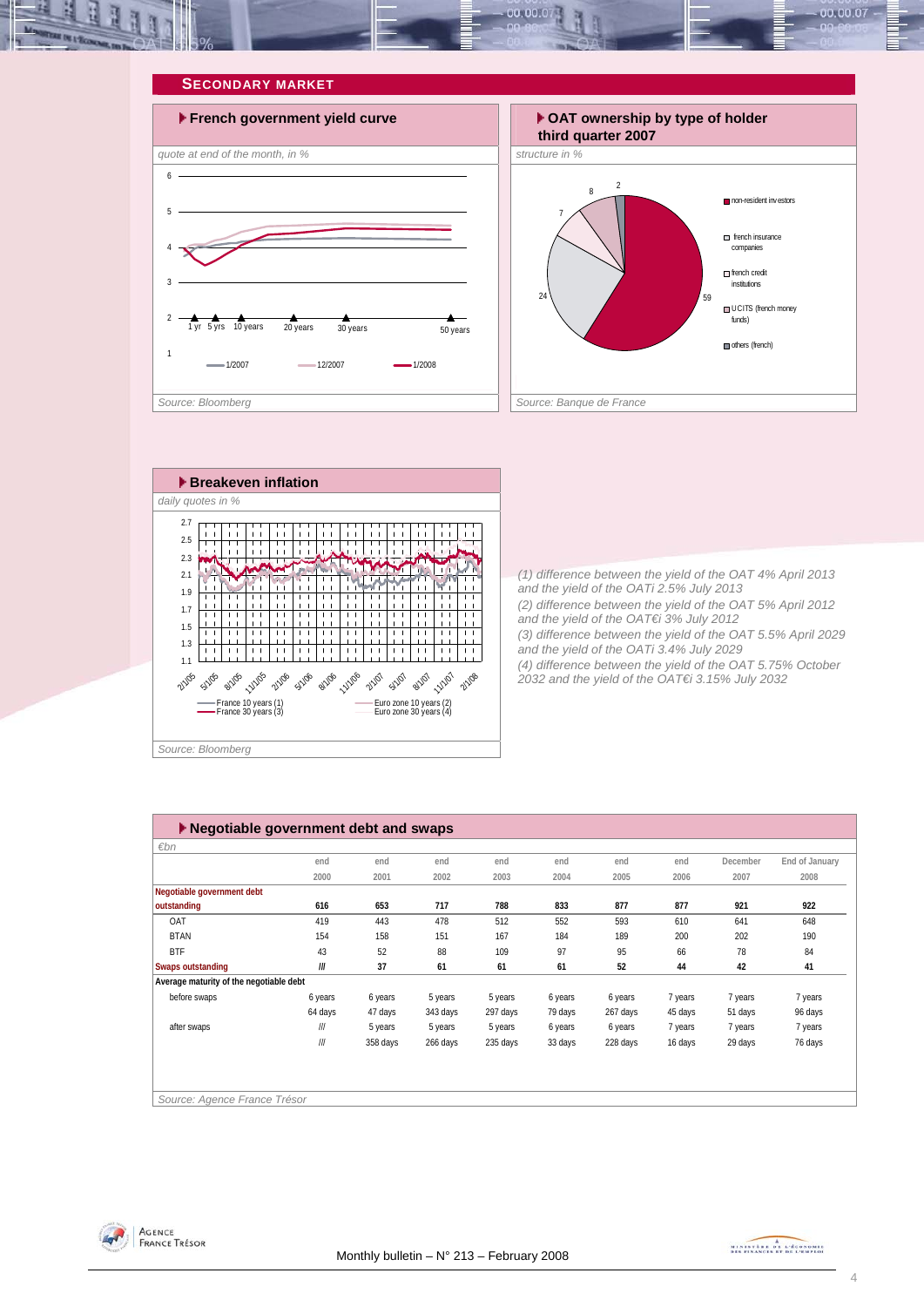<span id="page-3-0"></span>







*(1) difference between the yield of the OAT 4% April 2013 and the yield of the OATi 2.5% July 2013 (2) difference between the yield of the OAT 5% April 2012 and the yield of the OAT€i 3% July 2012 (3) difference between the yield of the OAT 5.5% April 2029 and the yield of the OATi 3.4% July 2029 (4) difference between the yield of the OAT 5.75% October 2032 and the yield of the OAT€i 3.15% July 2032* 

| $\varepsilon$ bn                        |                         |          |          |          |         |          |         |          |                |
|-----------------------------------------|-------------------------|----------|----------|----------|---------|----------|---------|----------|----------------|
|                                         | end                     | end      | end      | end      | end     | end      | end     | December | End of January |
|                                         | 2000                    | 2001     | 2002     | 2003     | 2004    | 2005     | 2006    | 2007     | 2008           |
| Negotiable government debt              |                         |          |          |          |         |          |         |          |                |
| outstanding                             | 616                     | 653      | 717      | 788      | 833     | 877      | 877     | 921      | 922            |
| OAT                                     | 419                     | 443      | 478      | 512      | 552     | 593      | 610     | 641      | 648            |
| <b>BTAN</b>                             | 154                     | 158      | 151      | 167      | 184     | 189      | 200     | 202      | 190            |
| <b>BTF</b>                              | 43                      | 52       | 88       | 109      | 97      | 95       | 66      | 78       | 84             |
| <b>Swaps outstanding</b>                | 111                     | 37       | 61       | 61       | 61      | 52       | 44      | 42       | 41             |
| Average maturity of the negotiable debt |                         |          |          |          |         |          |         |          |                |
| before swaps                            | 6 years                 | 6 years  | 5 years  | 5 years  | 6 years | 6 years  | 7 years | 7 years  | 7 years        |
|                                         | 64 days                 | 47 days  | 343 days | 297 days | 79 days | 267 days | 45 days | 51 days  | 96 days        |
| after swaps                             | $^{\prime\prime\prime}$ | 5 years  | 5 years  | 5 years  | 6 years | 6 years  | 7 years | 7 years  | 7 years        |
|                                         | III                     | 358 days | 266 days | 235 days | 33 days | 228 days | 16 days | 29 days  | 76 days        |
|                                         |                         |          |          |          |         |          |         |          |                |
|                                         |                         |          |          |          |         |          |         |          |                |
|                                         |                         |          |          |          |         |          |         |          |                |



MINISTRA DE L'ÉCONOMIE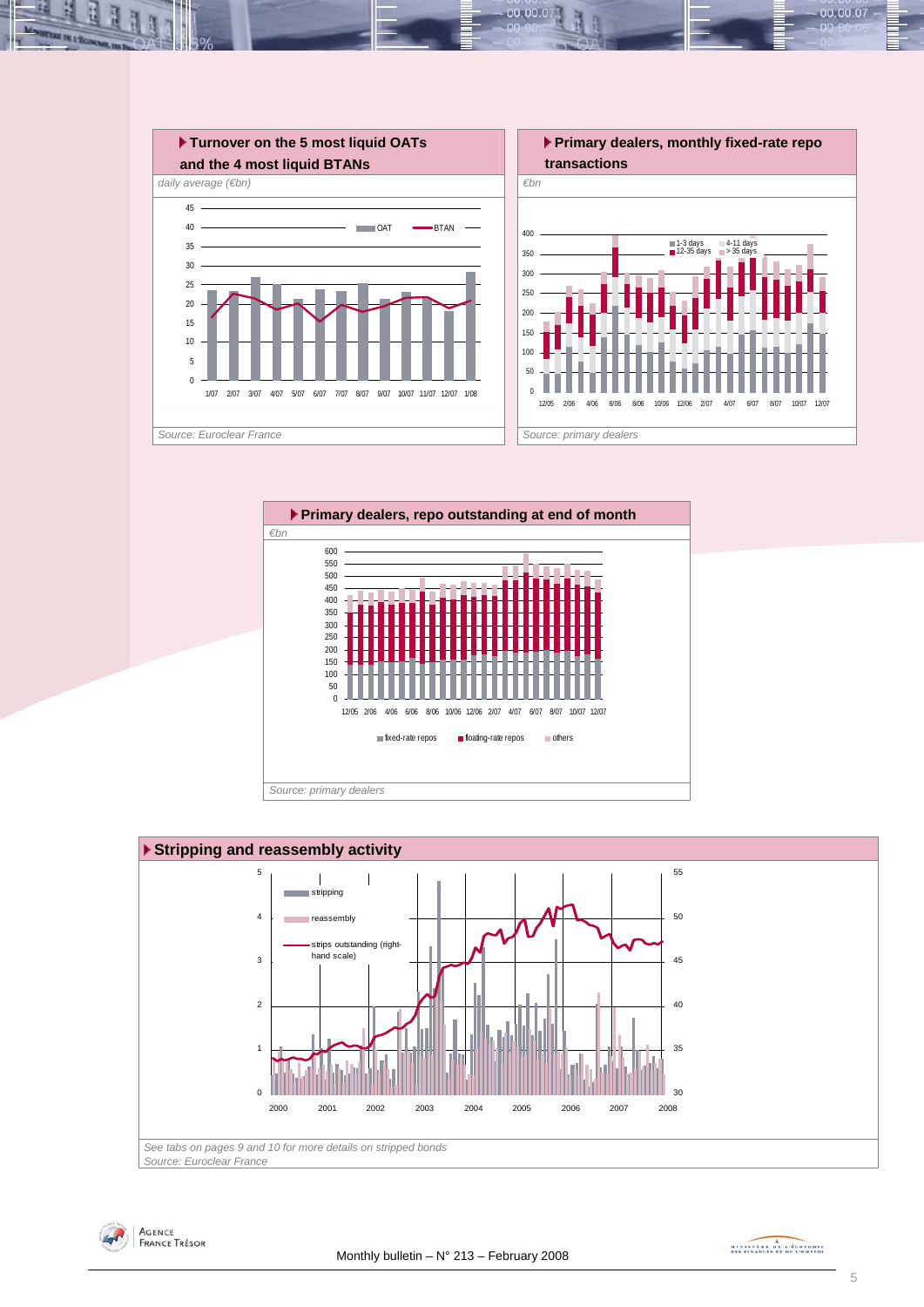

00.001







MINISTRA DE L'ÉCONOMIE

00.00.07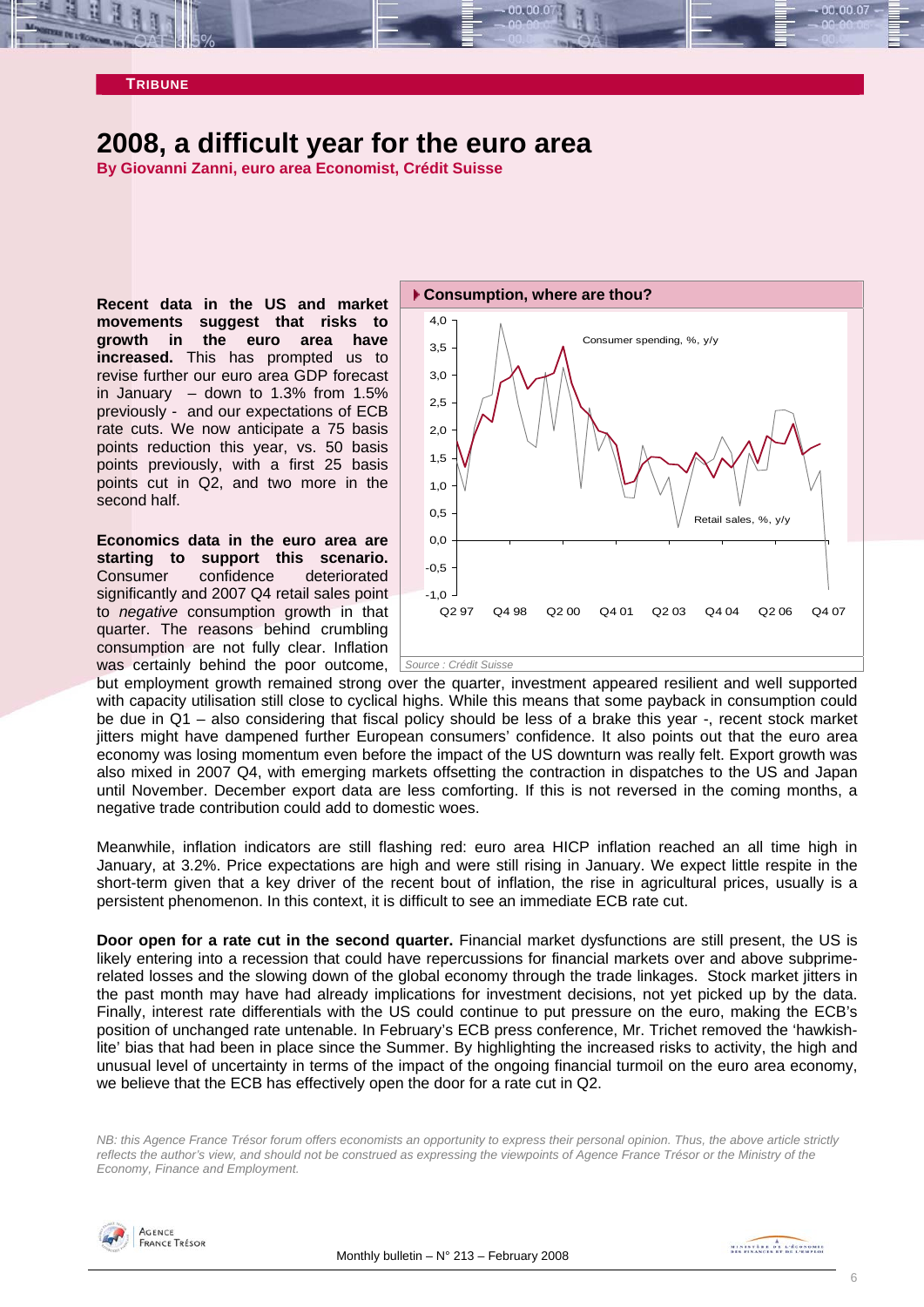<span id="page-5-0"></span>

# **2008, a difficult year for the euro area**

**By Giovanni Zanni, euro area Economist, Crédit Suisse** 

**Recent data in the US and market movements suggest that risks to growth in the euro area have increased.** This has prompted us to revise further our euro area GDP forecast in January  $-$  down to 1.3% from 1.5% previously - and our expectations of ECB rate cuts. We now anticipate a 75 basis points reduction this year, vs. 50 basis points previously, with a first 25 basis points cut in Q2, and two more in the second half.

**Economics data in the euro area are starting to support this scenario.** Consumer confidence deteriorated significantly and 2007 Q4 retail sales point to *negative* consumption growth in that quarter. The reasons behind crumbling consumption are not fully clear. Inflation was certainly behind the poor outcome, *Source : Crédit Suisse* 



but employment growth remained strong ov er the quarter, investment appeared resilient and well supported with capacity utilisation still close to cyclical highs. While this means that some payback in consumption could be due in Q1 – also considering that fiscal policy should be less of a brake this year -, recent stock market jitters might have dampened further European consumers' confidence. It also points out that the euro area economy was losing momentum even before the impact of the US downturn was really felt. Export growth was also mixed in 2007 Q4, with emerging markets offsetting the contraction in dispatches to the US and Japan until November. December export data are less comforting. If this is not reversed in the coming months, a negative trade contribution could add to domestic woes.

Meanwhile, inflation indicators are still flashing red: euro area HICP inflation reached an all time high in January, at 3.2%. Price expectations are high and were still rising in January. We expect little respite in the short-term given that a key driver of the recent bout of inflation, the rise in agricultural prices, usually is a persistent phenomenon. In this context, it is difficult to see an immediate ECB rate cut.

**Door open for a rate cut in the second quarter.** Financial market dysfunctions are still present, the US is likely entering into a recession that could have repercussions for financial markets over and above subprimerelated losses and the slowing down of the global economy through the trade linkages. Stock market jitters in the past month may have had already implications for investment decisions, not yet picked up by the data. Finally, interest rate differentials with the US could continue to put pressure on the euro, making the ECB's position of unchanged rate untenable. In February's ECB press conference, Mr. Trichet removed the 'hawkishlite' bias that had been in place since the Summer. By highlighting the increased risks to activity, the high and unusual level of uncertainty in terms of the impact of the ongoing financial turmoil on the euro area economy, we believe that the ECB has effectively open the door for a rate cut in Q2.

*B: this Agence France Trésor forum offers economists an opportunity to express their personal opinion. Thus, the above article strictly N reflects the author's view, and should not be construed as expressing the viewpoints of Agence France Trésor or the Ministry of the Economy, Finance and Employment.* 

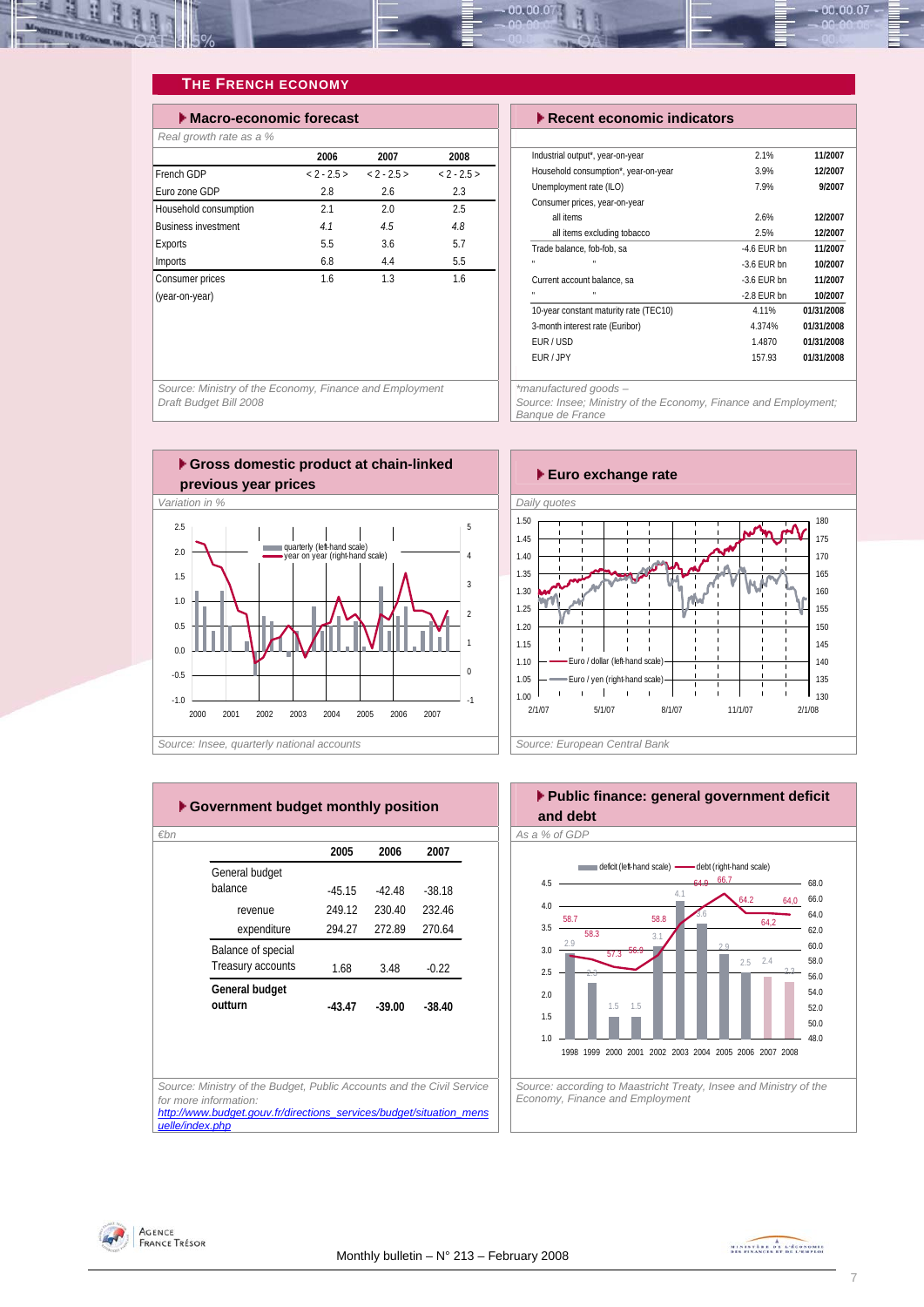<span id="page-6-0"></span>

#### **THE FRENCH ECONOMY**

| Macro-economic forecast    |               |               |               |  |  |  |  |  |  |
|----------------------------|---------------|---------------|---------------|--|--|--|--|--|--|
| Real growth rate as a %    |               |               |               |  |  |  |  |  |  |
|                            | 2006          | 2007          | 2008          |  |  |  |  |  |  |
| French GDP                 | $< 2 - 2.5 >$ | $< 2 - 2.5 >$ | $< 2 - 2.5 >$ |  |  |  |  |  |  |
| Euro zone GDP              | 2.8           | 2.6           | 2.3           |  |  |  |  |  |  |
| Household consumption      | 2.1           | 2.0           | 2.5           |  |  |  |  |  |  |
| <b>Business investment</b> | 4.1           | 4.5           | 4.8           |  |  |  |  |  |  |
| Exports                    | 5.5           | 3.6           | 5.7           |  |  |  |  |  |  |
| Imports                    | 6.8           | 4.4           | 5.5           |  |  |  |  |  |  |
| Consumer prices            | 1.6           | 1.3           | 1.6           |  |  |  |  |  |  |
| (year-on-year)             |               |               |               |  |  |  |  |  |  |

**Execute economic indicators** 

| Industrial output*, year-on-year       | 2.1%          | 11/2007    |
|----------------------------------------|---------------|------------|
| Household consumption*, year-on-year   | 3.9%          | 12/2007    |
| Unemployment rate (ILO)                | 7.9%          | 9/2007     |
| Consumer prices, year-on-year          |               |            |
| all items                              | 2.6%          | 12/2007    |
| all items excluding tobacco            | 2.5%          | 12/2007    |
| Trade balance, fob-fob, sa             | $-4.6$ FUR bn | 11/2007    |
| н<br>×,                                | $-3.6$ FUR bn | 10/2007    |
| Current account balance, sa            | $-3.6$ FUR bn | 11/2007    |
| н<br>×,                                | -2.8 FUR bn   | 10/2007    |
| 10-year constant maturity rate (TEC10) | 4.11%         | 01/31/2008 |
| 3-month interest rate (Euribor)        | 4.374%        | 01/31/2008 |
| FUR/USD                                | 1.4870        | 01/31/2008 |
| FUR / JPY                              | 157.93        | 01/31/2008 |
|                                        |               |            |

*Source: Ministry of the Economy, Finance and Employment Draft Budget Bill 2008* 

*\*manufactured goods –* 

*Source: Insee; Ministry of the Economy, Finance and Employment; Banque de France* 









*Economy, Finance and Employment* 

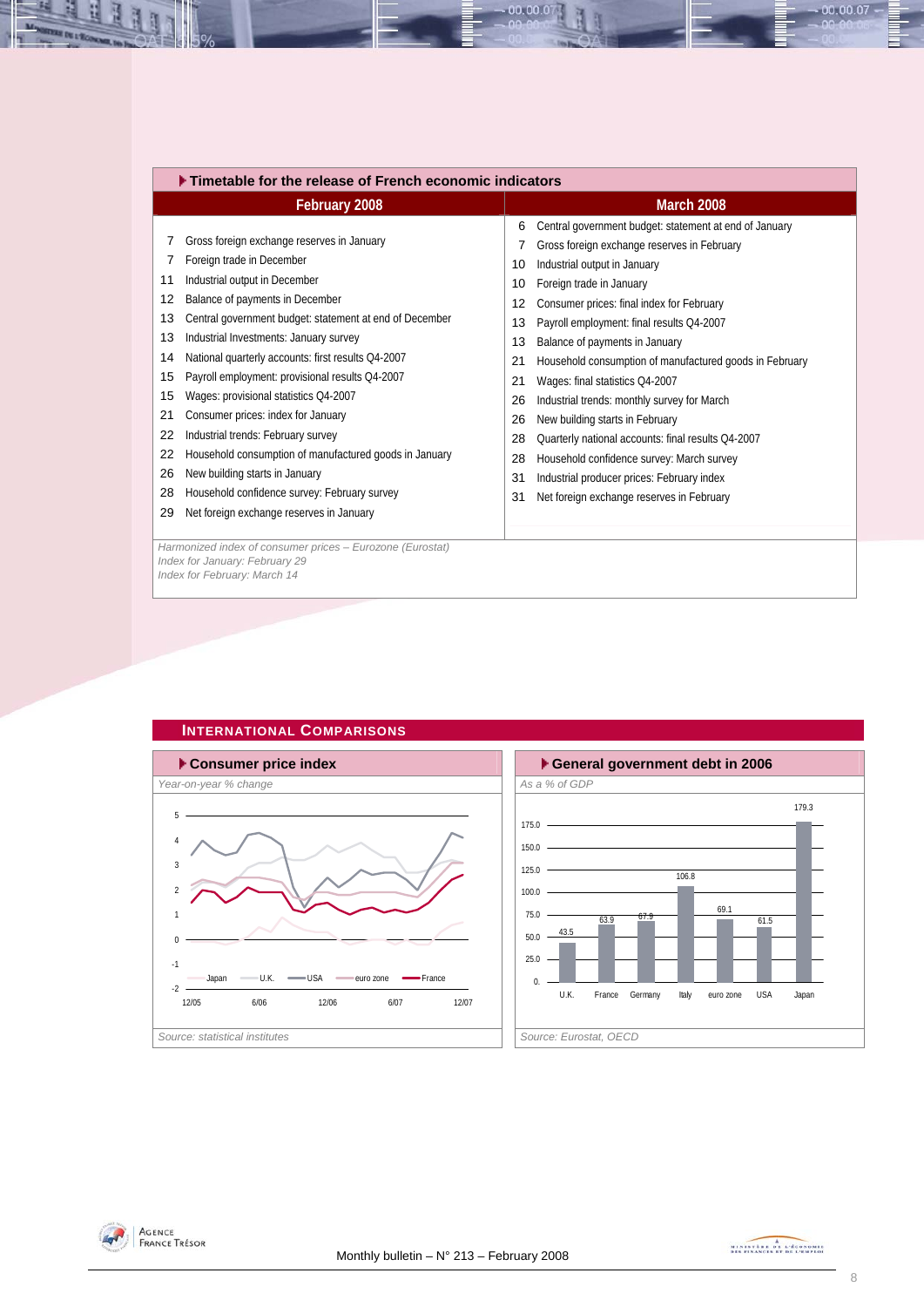<span id="page-7-0"></span>

| February 2008                                           | <b>March 2008</b>                                           |
|---------------------------------------------------------|-------------------------------------------------------------|
|                                                         | Central government budget: statement at end of January<br>6 |
| Gross foreign exchange reserves in January<br>7         | Gross foreign exchange reserves in February                 |
| Foreign trade in December                               | Industrial output in January                                |
| 7                                                       | 10                                                          |
| Industrial output in December                           | Foreign trade in January                                    |
| 11                                                      | 10                                                          |
| Balance of payments in December                         | Consumer prices: final index for February                   |
| 12                                                      | 12                                                          |
| Central government budget: statement at end of December | Payroll employment: final results Q4-2007                   |
| 13                                                      | 13                                                          |
| 13                                                      | Balance of payments in January                              |
| Industrial Investments: January survey                  | 13                                                          |
| National quarterly accounts: first results Q4-2007      | Household consumption of manufactured goods in February     |
| 14                                                      | 21                                                          |
| Payroll employment: provisional results Q4-2007         | Wages: final statistics Q4-2007                             |
| 15                                                      | 21                                                          |
| 15                                                      | Industrial trends: monthly survey for March                 |
| Wages: provisional statistics Q4-2007                   | 26                                                          |
| Consumer prices: index for January                      | New building starts in February                             |
| 21                                                      | 26                                                          |
| Industrial trends: February survey                      | Quarterly national accounts: final results Q4-2007          |
| 22                                                      | 28                                                          |
| Household consumption of manufactured goods in January  | Household confidence survey: March survey                   |
| 22                                                      | 28                                                          |
| 26                                                      | Industrial producer prices: February index                  |
| New building starts in January                          | 31                                                          |
| Household confidence survey: February survey            | Net foreign exchange reserves in February                   |
| 28                                                      | 31                                                          |
| Net foreign exchange reserves in January<br>29          |                                                             |
|                                                         |                                                             |

00.00.0



### **INTERNATIONAL COMPARISONS**





 $00.00.07$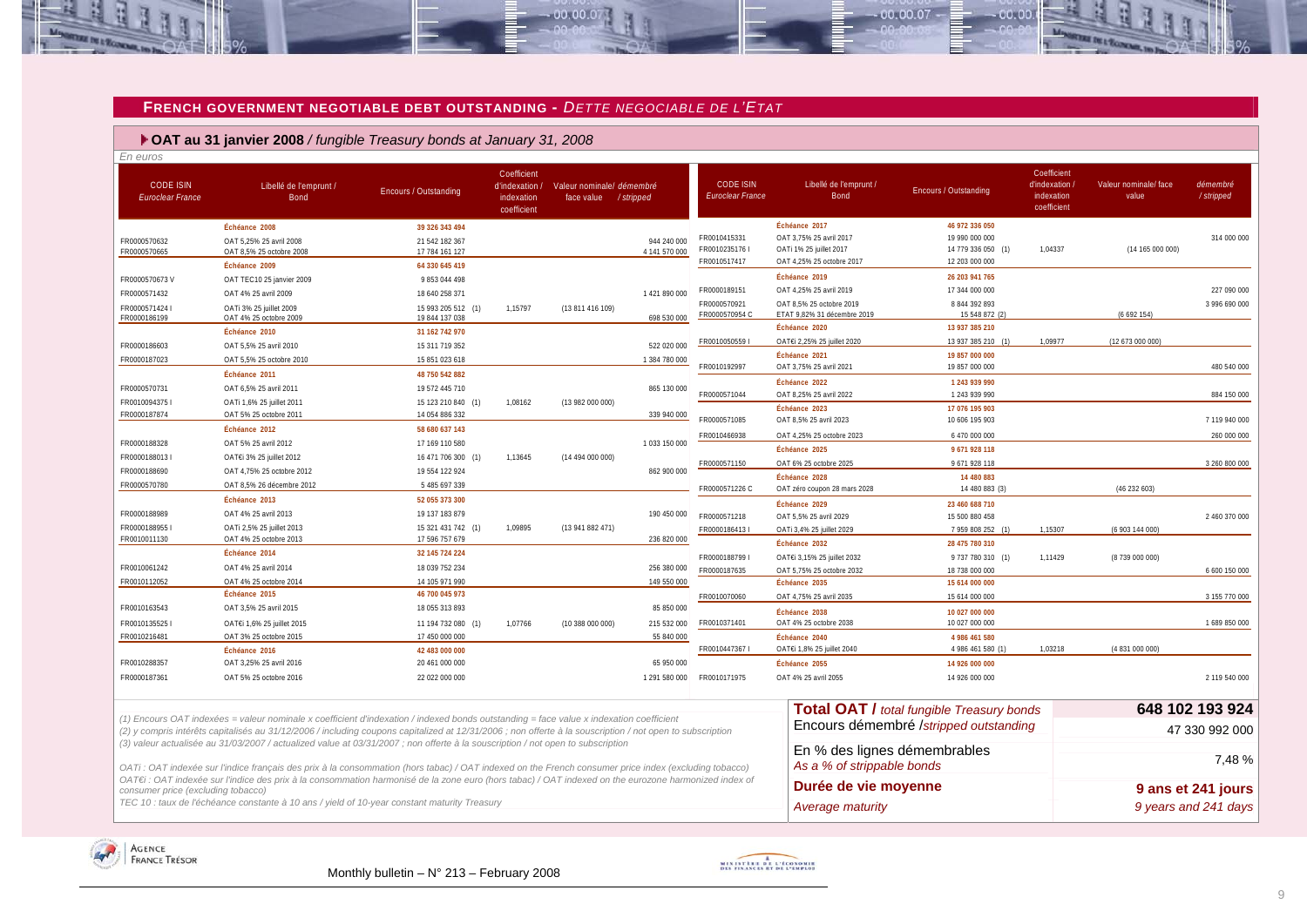#### **FRENCH GOVERNMENT NEGOTIABLE DEBT OUTSTANDING -** *DETTE NEGOCIABLE DE L'ETAT*

 $00000$ 

 **OAT au 31 janvier 2008** */ fungible Treasury bonds at January 31, 2008*

| En euros                                    |                                                                                                                                                           |                                      |                                                            |                                                    |               |                                      |                                                          |                                                  |                                                            |                                |                        |
|---------------------------------------------|-----------------------------------------------------------------------------------------------------------------------------------------------------------|--------------------------------------|------------------------------------------------------------|----------------------------------------------------|---------------|--------------------------------------|----------------------------------------------------------|--------------------------------------------------|------------------------------------------------------------|--------------------------------|------------------------|
| <b>CODE ISIN</b><br><b>Euroclear France</b> | Libellé de l'emprunt /<br><b>Bond</b>                                                                                                                     | <b>Encours / Outstanding</b>         | Coefficient<br>d'indexation /<br>indexation<br>coefficient | Valeur nominale/ démembré<br>face value / stripped |               | <b>CODE ISIN</b><br>Euroclear France | Libellé de l'emprunt /<br><b>Bond</b>                    | <b>Encours / Outstanding</b>                     | Coefficient<br>d'indexation /<br>indexation<br>coefficient | Valeur nominale/ face<br>value | démembré<br>/ stripped |
|                                             | Échéance 2008                                                                                                                                             | 39 326 343 494                       |                                                            |                                                    |               |                                      | Échéance 2017                                            | 46 972 336 050                                   |                                                            |                                |                        |
| FR0000570632                                | OAT 5,25% 25 avril 2008                                                                                                                                   | 21 542 182 367                       |                                                            |                                                    | 944 240 000   | FR0010415331                         | OAT 3,75% 25 avril 2017                                  | 19 990 000 000                                   |                                                            |                                | 314 000 000            |
| FR0000570665                                | OAT 8,5% 25 octobre 2008                                                                                                                                  | 17 784 161 127                       |                                                            |                                                    | 4 141 570 000 | FR0010235176 I<br>FR0010517417       | OATi 1% 25 juillet 2017<br>OAT 4,25% 25 octobre 2017     | 14 779 336 050 (1)<br>12 203 000 000             | 1,04337                                                    | (14165000000)                  |                        |
|                                             | Échéance 2009                                                                                                                                             | 64 330 645 419                       |                                                            |                                                    |               |                                      | Échéance 2019                                            | 26 203 941 765                                   |                                                            |                                |                        |
| FR0000570673V                               | OAT TEC10 25 janvier 2009                                                                                                                                 | 9 853 044 498                        |                                                            |                                                    |               | FR0000189151                         | OAT 4.25% 25 avril 2019                                  | 17 344 000 000                                   |                                                            |                                | 227 090 000            |
| FR0000571432                                | OAT 4% 25 avril 2009                                                                                                                                      | 18 640 258 371                       |                                                            |                                                    | 1421890000    | FR0000570921                         | OAT 8.5% 25 octobre 2019                                 | 8 844 392 893                                    |                                                            |                                | 3 996 690 000          |
| FR0000571424 I<br>FR0000186199              | OATi 3% 25 juillet 2009<br>OAT 4% 25 octobre 2009                                                                                                         | 15 993 205 512 (1)<br>19 844 137 038 | 1,15797                                                    | (13 811 416 109)                                   | 698 530 000   | FR0000570954 C                       | ETAT 9,82% 31 décembre 2019                              | 15 548 872 (2)                                   |                                                            | (6692154)                      |                        |
|                                             | Échéance 2010                                                                                                                                             | 31 162 742 970                       |                                                            |                                                    |               |                                      | Échéance 2020                                            | 13 937 385 210                                   |                                                            |                                |                        |
| FR0000186603                                | OAT 5,5% 25 avril 2010                                                                                                                                    | 15 311 719 352                       |                                                            |                                                    | 522 020 000   | FR00100505591                        | OAT€i 2,25% 25 juillet 2020                              | 13 937 385 210 (1)                               | 1.09977                                                    | (12 673 000 000)               |                        |
| FR0000187023                                | OAT 5,5% 25 octobre 2010                                                                                                                                  | 15 851 023 618                       |                                                            |                                                    | 1 384 780 000 |                                      | Échéance 2021                                            | 19 857 000 000                                   |                                                            |                                |                        |
|                                             | Échéance 2011                                                                                                                                             | 48 750 542 882                       |                                                            |                                                    |               | FR0010192997                         | OAT 3,75% 25 avril 2021                                  | 19 857 000 000                                   |                                                            |                                | 480 540 000            |
| FR0000570731                                | OAT 6.5% 25 avril 2011                                                                                                                                    | 19 572 445 710                       |                                                            |                                                    | 865 130 000   | FR0000571044                         | Échéance 2022<br>OAT 8,25% 25 avril 2022                 | 1 243 939 990<br>1 243 939 990                   |                                                            |                                | 884 150 000            |
| FR00100943751                               | OATi 1,6% 25 juillet 2011                                                                                                                                 | 15 123 210 840 (1)                   | 1,08162                                                    | (13 982 000 000)                                   |               |                                      | Échéance 2023                                            | 17 076 195 903                                   |                                                            |                                |                        |
| FR0000187874                                | OAT 5% 25 octobre 2011                                                                                                                                    | 14 054 886 332                       |                                                            |                                                    | 339 940 000   | FR0000571085                         | OAT 8,5% 25 avril 2023                                   | 10 606 195 903                                   |                                                            |                                | 7119940000             |
|                                             | Échéance 2012                                                                                                                                             | 58 680 637 143                       |                                                            |                                                    |               | FR0010466938                         | OAT 4,25% 25 octobre 2023                                | 6 470 000 000                                    |                                                            |                                | 260 000 000            |
| FR0000188328                                | OAT 5% 25 avril 2012                                                                                                                                      | 17 169 110 580                       |                                                            |                                                    | 1033 150 000  |                                      | Échéance 2025                                            | 9671928118                                       |                                                            |                                |                        |
| FR0000188013                                | OAT€i 3% 25 juillet 2012                                                                                                                                  | 16 471 706 300 (1)                   | 1,13645                                                    | (1449400000)                                       |               | FR0000571150                         | OAT 6% 25 octobre 2025                                   | 9 671 928 118                                    |                                                            |                                | 3 260 800 000          |
| FR0000188690                                | OAT 4.75% 25 octobre 2012                                                                                                                                 | 19 554 122 924                       |                                                            |                                                    | 862 900 000   |                                      | Échéance 2028                                            | 14 480 883                                       |                                                            |                                |                        |
| FR0000570780                                | OAT 8.5% 26 décembre 2012                                                                                                                                 | 5 485 697 339                        |                                                            |                                                    |               | FR0000571226 C                       | OAT zéro coupon 28 mars 2028                             | 14 480 883 (3)                                   |                                                            | (46 232 603)                   |                        |
|                                             | Échéance 2013                                                                                                                                             | 52 055 373 300                       |                                                            |                                                    |               |                                      | Échéance 2029                                            | 23 460 688 710                                   |                                                            |                                |                        |
| FR0000188989<br>FR00001889551               | OAT 4% 25 avril 2013<br>OATi 2,5% 25 juillet 2013                                                                                                         | 19 137 183 879<br>15 321 431 742 (1) | 1.09895                                                    | (13 941 882 471)                                   | 190 450 000   | FR0000571218                         | OAT 5.5% 25 avril 2029                                   | 15 500 880 458                                   |                                                            |                                | 2 460 370 000          |
| FR0010011130                                | OAT 4% 25 octobre 2013                                                                                                                                    | 17 596 757 679                       |                                                            |                                                    | 236 820 000   | FR0000186413 I                       | OATi 3.4% 25 juillet 2029                                | 7 959 808 252 (1)                                | 1.15307                                                    | (6 903 144 000)                |                        |
|                                             | Échéance 2014                                                                                                                                             | 32 145 724 224                       |                                                            |                                                    |               | FR0000188799 I                       | Échéance 2032                                            | 28 475 780 310                                   | 1,11429                                                    |                                |                        |
| FR0010061242                                | OAT 4% 25 avril 2014                                                                                                                                      | 18 039 752 234                       |                                                            |                                                    | 256 380 000   | FR0000187635                         | OAT€i 3,15% 25 juillet 2032<br>OAT 5,75% 25 octobre 2032 | 9 737 780 310 (1)<br>18 738 000 000              |                                                            | (8739 000 000)                 | 6 600 150 000          |
| FR0010112052                                | OAT 4% 25 octobre 2014                                                                                                                                    | 14 105 971 990                       |                                                            |                                                    | 149 550 000   |                                      | Échéance 2035                                            | 15 614 000 000                                   |                                                            |                                |                        |
|                                             | Échéance 2015                                                                                                                                             | 46 700 045 973                       |                                                            |                                                    |               | FR0010070060                         | OAT 4,75% 25 avril 2035                                  | 15 614 000 000                                   |                                                            |                                | 3 155 770 000          |
| FR0010163543                                | OAT 3,5% 25 avril 2015                                                                                                                                    | 18 055 313 893                       |                                                            |                                                    | 85 850 000    |                                      | Échéance 2038                                            | 10 027 000 000                                   |                                                            |                                |                        |
| FR00101355251                               | OAT€i 1,6% 25 juillet 2015                                                                                                                                | 11 194 732 080 (1)                   | 1,07766                                                    | (10388000000)                                      | 215 532 000   | FR0010371401                         | OAT 4% 25 octobre 2038                                   | 10 027 000 000                                   |                                                            |                                | 1 689 850 000          |
| FR0010216481                                | OAT 3% 25 octobre 2015                                                                                                                                    | 17 450 000 000                       |                                                            |                                                    | 55 840 000    |                                      | Échéance 2040                                            | 4 986 461 580                                    |                                                            |                                |                        |
|                                             | Échéance 2016                                                                                                                                             | 42 483 000 000                       |                                                            |                                                    |               | FR0010447367 I                       | OAT€i 1,8% 25 juillet 2040                               | 4 986 461 580 (1)                                | 1,03218                                                    | (4 831 000 000)                |                        |
| FR0010288357                                | OAT 3.25% 25 avril 2016                                                                                                                                   | 20 461 000 000                       |                                                            |                                                    | 65 950 000    |                                      | Échéance 2055                                            | 14 926 000 000                                   |                                                            |                                |                        |
| FR0000187361                                | OAT 5% 25 octobre 2016                                                                                                                                    | 22 022 000 000                       |                                                            |                                                    | 1 291 580 000 | FR0010171975                         | OAT 4% 25 avril 2055                                     | 14 926 000 000                                   |                                                            |                                | 2 119 540 000          |
|                                             |                                                                                                                                                           |                                      |                                                            |                                                    |               |                                      |                                                          |                                                  |                                                            |                                | 648 102 193 924        |
|                                             | (1) Encours OAT indexées = valeur nominale x coefficient d'indexation / indexed bonds outstanding = face value x indexation coefficient                   |                                      |                                                            |                                                    |               |                                      |                                                          | <b>Total OAT / total fungible Treasury bonds</b> |                                                            |                                |                        |
|                                             | (2) y compris intérêts capitalisés au 31/12/2006 / including coupons capitalized at 12/31/2006 ; non offerte à la souscription / not open to subscription |                                      |                                                            |                                                    |               |                                      |                                                          | Encours démembré /stripped outstanding           |                                                            |                                | 47 330 992 000         |
|                                             | (3) valeur actualisée au 31/03/2007 / actualized value at 03/31/2007 ; non offerte à la souscription / not open to subscription                           |                                      |                                                            |                                                    |               |                                      | En % des lignes démembrables                             |                                                  |                                                            |                                |                        |
|                                             | OATi: OAT indexée sur l'indice français des prix à la consommation (hors tabac) / OAT indexed on the French consumer price index (excluding tobacco)      |                                      |                                                            |                                                    |               |                                      | As a % of strippable bonds                               |                                                  |                                                            |                                | 7,48 %                 |
|                                             | OAT€i : OAT indexée sur l'indice des prix à la consommation harmonisé de la zone euro (hors tabac) / OAT indexed on the eurozone harmonized index of      |                                      |                                                            |                                                    |               |                                      |                                                          |                                                  |                                                            |                                |                        |
| consumer price (excluding tobacco)          |                                                                                                                                                           |                                      |                                                            |                                                    |               |                                      | Durée de vie moyenne                                     |                                                  |                                                            |                                | 9 ans et 241 jours     |
|                                             | TEC 10 : taux de l'échéance constante à 10 ans / yield of 10-year constant maturity Treasury                                                              |                                      |                                                            |                                                    |               |                                      | Average maturity                                         |                                                  |                                                            |                                | 9 years and 241 days   |

<span id="page-8-0"></span>



00.00.07